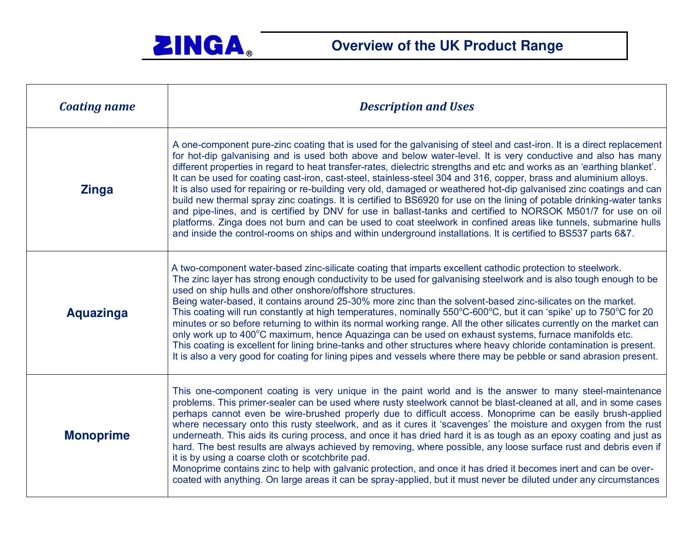

| <b>Coating name</b> | <b>Description and Uses</b>                                                                                                                                                                                                                                                                                                                                                                                                                                                                                                                                                                                                                                                                                                                                                                                                                                                                                                                                                                                                                                                                        |
|---------------------|----------------------------------------------------------------------------------------------------------------------------------------------------------------------------------------------------------------------------------------------------------------------------------------------------------------------------------------------------------------------------------------------------------------------------------------------------------------------------------------------------------------------------------------------------------------------------------------------------------------------------------------------------------------------------------------------------------------------------------------------------------------------------------------------------------------------------------------------------------------------------------------------------------------------------------------------------------------------------------------------------------------------------------------------------------------------------------------------------|
| <b>Zinga</b>        | A one-component pure-zinc coating that is used for the galvanising of steel and cast-iron. It is a direct replacement<br>for hot-dip galvanising and is used both above and below water-level. It is very conductive and also has many<br>different properties in regard to heat transfer-rates, dielectric strengths and etc and works as an 'earthing blanket'.<br>It can be used for coating cast-iron, cast-steel, stainless-steel 304 and 316, copper, brass and aluminium alloys.<br>It is also used for repairing or re-building very old, damaged or weathered hot-dip galvanised zinc coatings and can<br>build new thermal spray zinc coatings. It is certified to BS6920 for use on the lining of potable drinking-water tanks<br>and pipe-lines, and is certified by DNV for use in ballast-tanks and certified to NORSOK M501/7 for use on oil<br>platforms. Zinga does not burn and can be used to coat steelwork in confined areas like tunnels, submarine hulls<br>and inside the control-rooms on ships and within underground installations. It is certified to BS537 parts 6&7. |
| <b>Aquazinga</b>    | A two-component water-based zinc-silicate coating that imparts excellent cathodic protection to steelwork.<br>The zinc layer has strong enough conductivity to be used for galvanising steelwork and is also tough enough to be<br>used on ship hulls and other onshore/offshore structures.<br>Being water-based, it contains around 25-30% more zinc than the solvent-based zinc-silicates on the market.<br>This coating will run constantly at high temperatures, nominally 550°C-600°C, but it can 'spike' up to 750°C for 20<br>minutes or so before returning to within its normal working range. All the other silicates currently on the market can<br>only work up to 400°C maximum, hence Aquazinga can be used on exhaust systems, furnace manifolds etc.<br>This coating is excellent for lining brine-tanks and other structures where heavy chloride contamination is present.<br>It is also a very good for coating for lining pipes and vessels where there may be pebble or sand abrasion present.                                                                               |
| <b>Monoprime</b>    | This one-component coating is very unique in the paint world and is the answer to many steel-maintenance<br>problems. This primer-sealer can be used where rusty steelwork cannot be blast-cleaned at all, and in some cases<br>perhaps cannot even be wire-brushed properly due to difficult access. Monoprime can be easily brush-applied<br>where necessary onto this rusty steelwork, and as it cures it 'scavenges' the moisture and oxygen from the rust<br>underneath. This aids its curing process, and once it has dried hard it is as tough as an epoxy coating and just as<br>hard. The best results are always achieved by removing, where possible, any loose surface rust and debris even if<br>it is by using a coarse cloth or scotchbrite pad.<br>Monoprime contains zinc to help with galvanic protection, and once it has dried it becomes inert and can be over-<br>coated with anything. On large areas it can be spray-applied, but it must never be diluted under any circumstances                                                                                         |